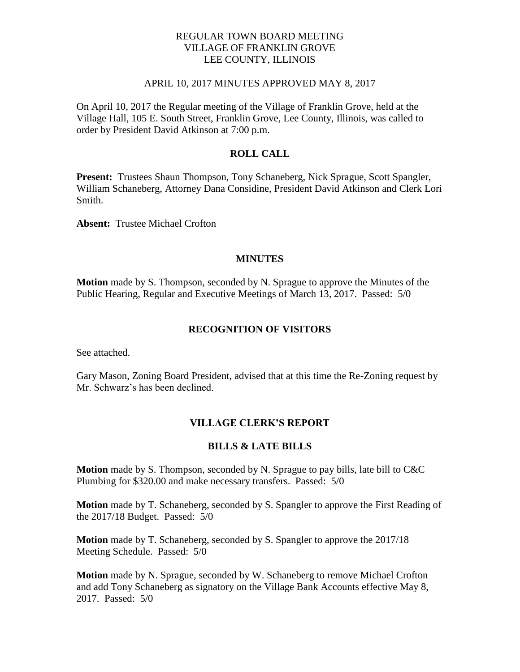## REGULAR TOWN BOARD MEETING VILLAGE OF FRANKLIN GROVE LEE COUNTY, ILLINOIS

## APRIL 10, 2017 MINUTES APPROVED MAY 8, 2017

On April 10, 2017 the Regular meeting of the Village of Franklin Grove, held at the Village Hall, 105 E. South Street, Franklin Grove, Lee County, Illinois, was called to order by President David Atkinson at 7:00 p.m.

## **ROLL CALL**

**Present:** Trustees Shaun Thompson, Tony Schaneberg, Nick Sprague, Scott Spangler, William Schaneberg, Attorney Dana Considine, President David Atkinson and Clerk Lori Smith.

**Absent:** Trustee Michael Crofton

## **MINUTES**

**Motion** made by S. Thompson, seconded by N. Sprague to approve the Minutes of the Public Hearing, Regular and Executive Meetings of March 13, 2017. Passed: 5/0

## **RECOGNITION OF VISITORS**

See attached.

Gary Mason, Zoning Board President, advised that at this time the Re-Zoning request by Mr. Schwarz's has been declined.

## **VILLAGE CLERK'S REPORT**

## **BILLS & LATE BILLS**

**Motion** made by S. Thompson, seconded by N. Sprague to pay bills, late bill to C&C Plumbing for \$320.00 and make necessary transfers. Passed: 5/0

**Motion** made by T. Schaneberg, seconded by S. Spangler to approve the First Reading of the 2017/18 Budget. Passed: 5/0

**Motion** made by T. Schaneberg, seconded by S. Spangler to approve the 2017/18 Meeting Schedule. Passed: 5/0

**Motion** made by N. Sprague, seconded by W. Schaneberg to remove Michael Crofton and add Tony Schaneberg as signatory on the Village Bank Accounts effective May 8, 2017. Passed: 5/0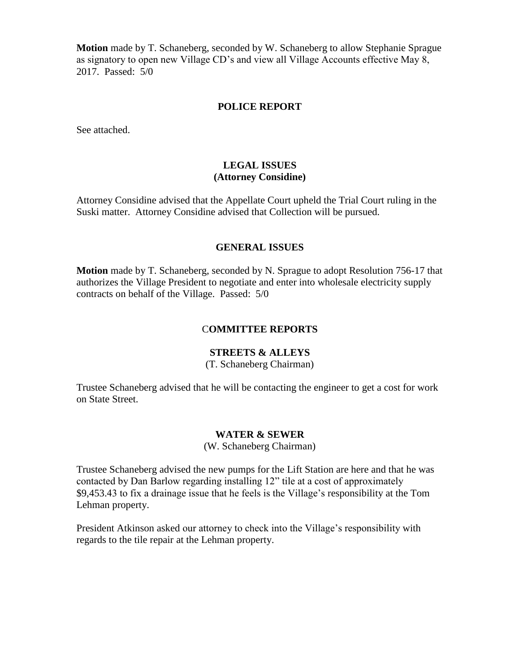**Motion** made by T. Schaneberg, seconded by W. Schaneberg to allow Stephanie Sprague as signatory to open new Village CD's and view all Village Accounts effective May 8, 2017. Passed: 5/0

#### **POLICE REPORT**

See attached.

## **LEGAL ISSUES (Attorney Considine)**

Attorney Considine advised that the Appellate Court upheld the Trial Court ruling in the Suski matter. Attorney Considine advised that Collection will be pursued.

## **GENERAL ISSUES**

**Motion** made by T. Schaneberg, seconded by N. Sprague to adopt Resolution 756-17 that authorizes the Village President to negotiate and enter into wholesale electricity supply contracts on behalf of the Village. Passed: 5/0

## C**OMMITTEE REPORTS**

## **STREETS & ALLEYS**

(T. Schaneberg Chairman)

Trustee Schaneberg advised that he will be contacting the engineer to get a cost for work on State Street.

## **WATER & SEWER**

(W. Schaneberg Chairman)

Trustee Schaneberg advised the new pumps for the Lift Station are here and that he was contacted by Dan Barlow regarding installing 12" tile at a cost of approximately \$9,453.43 to fix a drainage issue that he feels is the Village's responsibility at the Tom Lehman property.

President Atkinson asked our attorney to check into the Village's responsibility with regards to the tile repair at the Lehman property.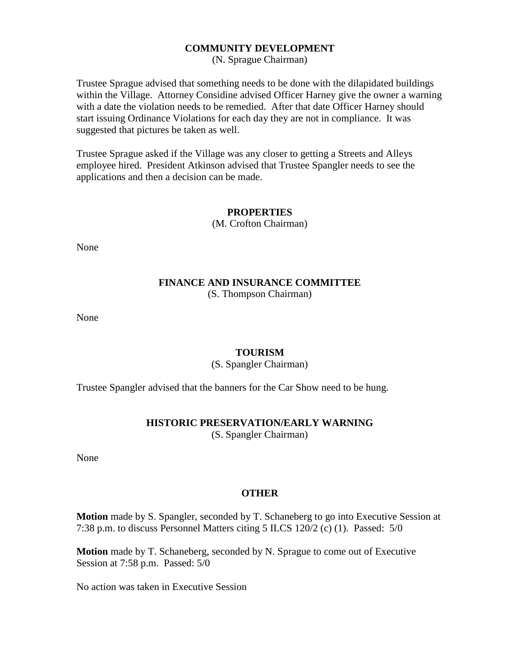## **COMMUNITY DEVELOPMENT**

(N. Sprague Chairman)

Trustee Sprague advised that something needs to be done with the dilapidated buildings within the Village. Attorney Considine advised Officer Harney give the owner a warning with a date the violation needs to be remedied. After that date Officer Harney should start issuing Ordinance Violations for each day they are not in compliance. It was suggested that pictures be taken as well.

Trustee Sprague asked if the Village was any closer to getting a Streets and Alleys employee hired. President Atkinson advised that Trustee Spangler needs to see the applications and then a decision can be made.

#### **PROPERTIES**

(M. Crofton Chairman)

None

# **FINANCE AND INSURANCE COMMITTEE**

(S. Thompson Chairman)

None

## **TOURISM**

(S. Spangler Chairman)

Trustee Spangler advised that the banners for the Car Show need to be hung.

## **HISTORIC PRESERVATION/EARLY WARNING**

(S. Spangler Chairman)

None

## **OTHER**

**Motion** made by S. Spangler, seconded by T. Schaneberg to go into Executive Session at 7:38 p.m. to discuss Personnel Matters citing 5 ILCS 120/2 (c) (1). Passed: 5/0

**Motion** made by T. Schaneberg, seconded by N. Sprague to come out of Executive Session at 7:58 p.m. Passed: 5/0

No action was taken in Executive Session